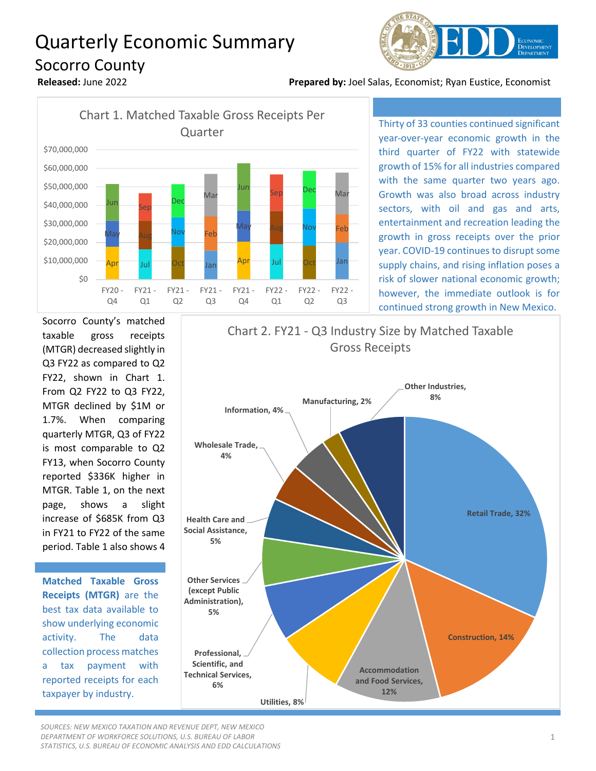## Quarterly Economic Summary Socorro County



**Released:** June 2022 **Prepared by:** Joel Salas, Economist; Ryan Eustice, Economist



Thirty of 33 counties continued significant year-over-year economic growth in the third quarter of FY22 with statewide growth of 15% for all industries compared with the same quarter two years ago. Growth was also broad across industry sectors, with oil and gas and arts, entertainment and recreation leading the growth in gross receipts over the prior year. COVID-19 continues to disrupt some supply chains, and rising inflation poses a risk of slower national economic growth; however, the immediate outlook is for continued strong growth in New Mexico.

Socorro County's matched taxable gross receipts (MTGR) decreased slightly in Q3 FY22 as compared to Q2 FY22, shown in Chart 1. From Q2 FY22 to Q3 FY22, MTGR declined by \$1M or 1.7%. When comparing quarterly MTGR, Q3 of FY22 is most comparable to Q2 FY13, when Socorro County reported \$336K higher in MTGR. Table 1, on the next page, shows a slight increase of \$685K from Q3 in FY21 to FY22 of the same period. Table 1 also shows 4

**Matched Taxable Gross Receipts (MTGR)** are the best tax data available to show underlying economic activity. The data collection process matches a tax payment with reported receipts for each taxpayer by industry.



*SOURCES: NEW MEXICO TAXATION AND REVENUE DEPT, NEW MEXICO DEPARTMENT OF WORKFORCE SOLUTIONS, U.S. BUREAU OF LABOR STATISTICS, U.S. BUREAU OF ECONOMIC ANALYSIS AND EDD CALCULATIONS*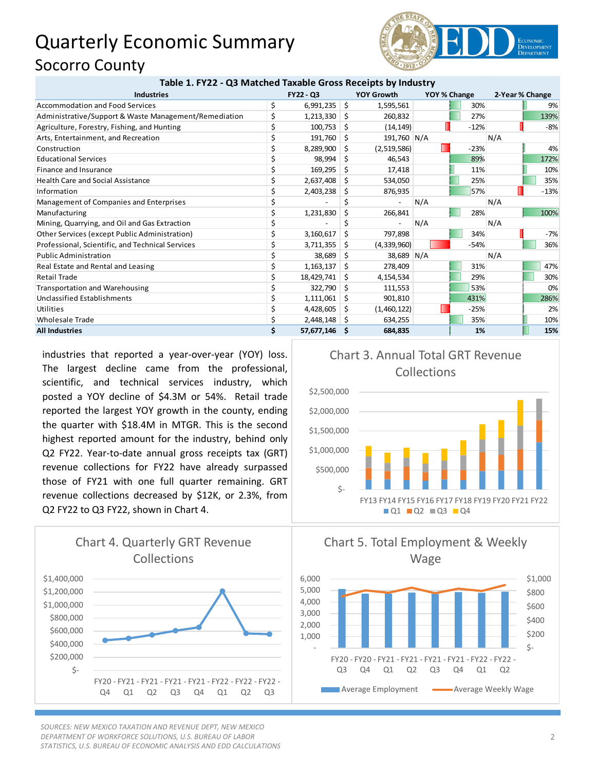## Quarterly Economic Summary Socorro County



| Table 1. FY22 - Q3 Matched Taxable Gross Receipts by Industry |           |            |    |                   |              |        |                 |        |
|---------------------------------------------------------------|-----------|------------|----|-------------------|--------------|--------|-----------------|--------|
| <b>Industries</b>                                             | FY22 - Q3 |            |    | <b>YOY Growth</b> | YOY % Change |        | 2-Year % Change |        |
| <b>Accommodation and Food Services</b>                        | \$        | 6,991,235  | \$ | 1,595,561         |              | 30%    |                 | 9%     |
| Administrative/Support & Waste Management/Remediation         |           | 1,213,330  | S  | 260,832           |              | 27%    |                 | 139%   |
| Agriculture, Forestry, Fishing, and Hunting                   |           | 100,753    | \$ | (14, 149)         |              | $-12%$ |                 | $-8%$  |
| Arts, Entertainment, and Recreation                           |           | 191,760    | Ŝ. | 191,760 N/A       |              |        | N/A             |        |
| Construction                                                  |           | 8,289,900  | Ŝ. | (2,519,586)       |              | $-23%$ |                 | 4%     |
| <b>Educational Services</b>                                   |           | 98,994     | Ŝ. | 46,543            |              | 89%    |                 | 172%   |
| Finance and Insurance                                         |           | 169,295    | S  | 17,418            |              | 11%    |                 | 10%    |
| <b>Health Care and Social Assistance</b>                      |           | 2,637,408  | S  | 534,050           |              | 25%    |                 | 35%    |
| Information                                                   |           | 2,403,238  | S  | 876,935           |              | 57%    |                 | $-13%$ |
| Management of Companies and Enterprises                       |           |            |    |                   | N/A          |        | N/A             |        |
| Manufacturing                                                 |           | 1,231,830  | \$ | 266,841           |              | 28%    |                 | 100%   |
| Mining, Quarrying, and Oil and Gas Extraction                 |           |            |    |                   | N/A          |        | N/A             |        |
| Other Services (except Public Administration)                 |           | 3,160,617  | Ś. | 797,898           |              | 34%    |                 | $-7%$  |
| Professional, Scientific, and Technical Services              |           | 3,711,355  | S  | (4,339,960)       |              | $-54%$ |                 | 36%    |
| <b>Public Administration</b>                                  |           | 38,689     | S  | 38,689 N/A        |              |        | N/A             |        |
| Real Estate and Rental and Leasing                            |           | 1,163,137  | \$ | 278,409           |              | 31%    |                 | 47%    |
| <b>Retail Trade</b>                                           |           | 18,429,741 | S  | 4,154,534         |              | 29%    |                 | 30%    |
| Transportation and Warehousing                                |           | 322,790    | Ŝ. | 111,553           |              | 53%    |                 | 0%     |
| Unclassified Establishments                                   |           | 1,111,061  | S  | 901,810           |              | 431%   |                 | 286%   |
| Utilities                                                     |           | 4,428,605  | S  | (1,460,122)       |              | $-25%$ |                 | 2%     |
| <b>Wholesale Trade</b>                                        |           | 2,448,148  | S  | 634,255           |              | 35%    |                 | 10%    |
| <b>All Industries</b>                                         | \$        | 57,677,146 | S  | 684,835           |              | 1%     |                 | 15%    |

industries that reported a year-over-year (YOY) loss. The largest decline came from the professional, scientific, and technical services industry, which posted a YOY decline of \$4.3M or 54%. Retail trade reported the largest YOY growth in the county, ending the quarter with \$18.4M in MTGR. This is the second highest reported amount for the industry, behind only Q2 FY22. Year-to-date annual gross receipts tax (GRT) revenue collections for FY22 have already surpassed those of FY21 with one full quarter remaining. GRT revenue collections decreased by \$12K, or 2.3%, from Q2 FY22 to Q3 FY22, shown in Chart 4.



*SOURCES: NEW MEXICO TAXATION AND REVENUE DEPT, NEW MEXICO DEPARTMENT OF WORKFORCE SOLUTIONS, U.S. BUREAU OF LABOR STATISTICS, U.S. BUREAU OF ECONOMIC ANALYSIS AND EDD CALCULATIONS*